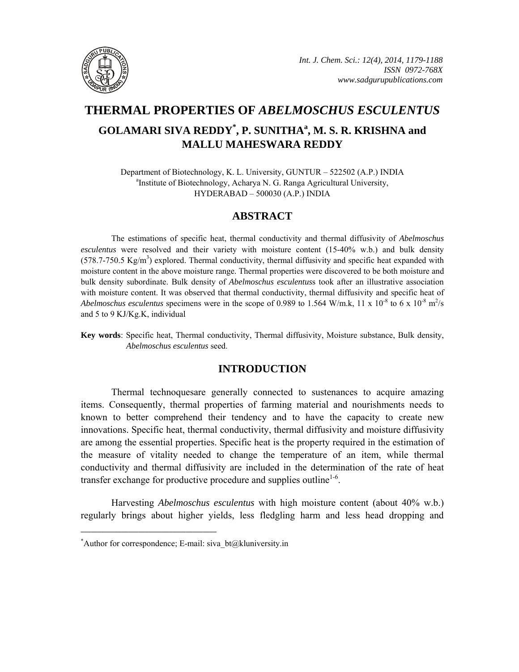

# **THERMAL PROPERTIES OF** *ABELMOSCHUS ESCULENTUS* **GOLAMARI SIVA REDDY\* , P. SUNITHA<sup>a</sup> , M. S. R. KRISHNA and MALLU MAHESWARA REDDY**

Department of Biotechnology, K. L. University, GUNTUR – 522502 (A.P.) INDIA <sup>a</sup>Institute of Biotechnology, Acharya N. G. Ranga Agricultural University, HYDERABAD – 500030 (A.P.) INDIA

# **ABSTRACT**

The estimations of specific heat, thermal conductivity and thermal diffusivity of *Abelmoschus esculentus* were resolved and their variety with moisture content (15-40% w.b.) and bulk density  $(578.7-750.5 \text{ Kg/m}^3)$  explored. Thermal conductivity, thermal diffusivity and specific heat expanded with moisture content in the above moisture range. Thermal properties were discovered to be both moisture and bulk density subordinate. Bulk density of *Abelmoschus esculentus*s took after an illustrative association with moisture content. It was observed that thermal conductivity, thermal diffusivity and specific heat of *Abelmoschus esculentus* specimens were in the scope of 0.989 to 1.564 W/m.k, 11 x  $10^{-8}$  to 6 x  $10^{-8}$  m<sup>2</sup>/s and 5 to 9 KJ/Kg.K, individual

**Key words**: Specific heat, Thermal conductivity, Thermal diffusivity, Moisture substance, Bulk density, *Abelmoschus esculentus* seed.

# **INTRODUCTION**

Thermal technoquesare generally connected to sustenances to acquire amazing items. Consequently, thermal properties of farming material and nourishments needs to known to better comprehend their tendency and to have the capacity to create new innovations. Specific heat, thermal conductivity, thermal diffusivity and moisture diffusivity are among the essential properties. Specific heat is the property required in the estimation of the measure of vitality needed to change the temperature of an item, while thermal conductivity and thermal diffusivity are included in the determination of the rate of heat transfer exchange for productive procedure and supplies outline<sup>1-6</sup>.

Harvesting *Abelmoschus esculentus* with high moisture content (about 40% w.b.) regularly brings about higher yields, less fledgling harm and less head dropping and

**\_\_\_\_\_\_\_\_\_\_\_\_\_\_\_\_\_\_\_\_\_\_\_\_\_\_\_\_\_\_\_\_\_\_\_\_\_\_\_\_**

<sup>\*</sup> Author for correspondence; E-mail: siva\_bt@kluniversity.in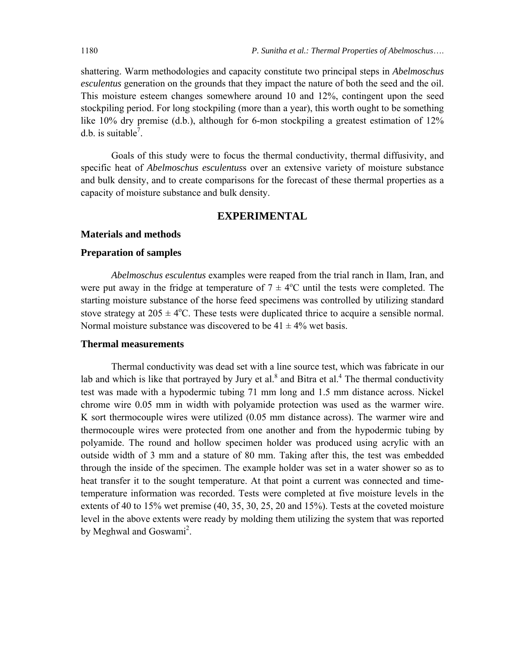shattering. Warm methodologies and capacity constitute two principal steps in *Abelmoschus esculentus* generation on the grounds that they impact the nature of both the seed and the oil. This moisture esteem changes somewhere around 10 and 12%, contingent upon the seed stockpiling period. For long stockpiling (more than a year), this worth ought to be something like 10% dry premise (d.b.), although for 6-mon stockpiling a greatest estimation of 12% d.b. is suitable<sup>7</sup>.

Goals of this study were to focus the thermal conductivity, thermal diffusivity, and specific heat of *Abelmoschus esculentus*s over an extensive variety of moisture substance and bulk density, and to create comparisons for the forecast of these thermal properties as a capacity of moisture substance and bulk density.

# **EXPERIMENTAL**

#### **Materials and methods**

## **Preparation of samples**

*Abelmoschus esculentus* examples were reaped from the trial ranch in Ilam, Iran, and were put away in the fridge at temperature of  $7 \pm 4$ °C until the tests were completed. The starting moisture substance of the horse feed specimens was controlled by utilizing standard stove strategy at  $205 \pm 4$ <sup>o</sup>C. These tests were duplicated thrice to acquire a sensible normal. Normal moisture substance was discovered to be  $41 \pm 4\%$  wet basis.

#### **Thermal measurements**

Thermal conductivity was dead set with a line source test, which was fabricate in our lab and which is like that portrayed by Jury et al. $^8$  and Bitra et al. $^4$  The thermal conductivity test was made with a hypodermic tubing 71 mm long and 1.5 mm distance across. Nickel chrome wire 0.05 mm in width with polyamide protection was used as the warmer wire. K sort thermocouple wires were utilized (0.05 mm distance across). The warmer wire and thermocouple wires were protected from one another and from the hypodermic tubing by polyamide. The round and hollow specimen holder was produced using acrylic with an outside width of 3 mm and a stature of 80 mm. Taking after this, the test was embedded through the inside of the specimen. The example holder was set in a water shower so as to heat transfer it to the sought temperature. At that point a current was connected and timetemperature information was recorded. Tests were completed at five moisture levels in the extents of 40 to 15% wet premise (40, 35, 30, 25, 20 and 15%). Tests at the coveted moisture level in the above extents were ready by molding them utilizing the system that was reported by Meghwal and Goswami<sup>2</sup>.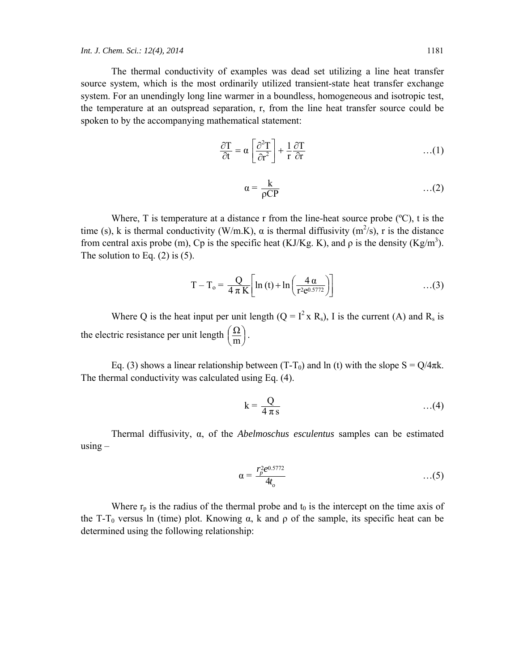The thermal conductivity of examples was dead set utilizing a line heat transfer source system, which is the most ordinarily utilized transient-state heat transfer exchange system. For an unendingly long line warmer in a boundless, homogeneous and isotropic test, the temperature at an outspread separation, r, from the line heat transfer source could be spoken to by the accompanying mathematical statement:

$$
\frac{\partial T}{\partial t} = \alpha \left[ \frac{\partial^2 T}{\partial r^2} \right] + \frac{1}{r} \frac{\partial T}{\partial r}
$$
...(1)

$$
\alpha = \frac{k}{\rho CP} \tag{2}
$$

Where, T is temperature at a distance r from the line-heat source probe  $(°C)$ , t is the time (s), k is thermal conductivity (W/m.K),  $\alpha$  is thermal diffusivity (m<sup>2</sup>/s), r is the distance from central axis probe (m), Cp is the specific heat (KJ/Kg. K), and  $\rho$  is the density (Kg/m<sup>3</sup>). The solution to Eq.  $(2)$  is  $(5)$ .

$$
T - T_o = \frac{Q}{4 \pi K} \left[ \ln \left( t \right) + \ln \left( \frac{4 \alpha}{r^2 e^{0.5772}} \right) \right] \tag{3}
$$

Where Q is the heat input per unit length  $(Q = I^2 X R_s)$ , I is the current (A) and R<sub>s</sub> is the electric resistance per unit length  $\left(\frac{\Omega}{m}\right)$  $\big($  $\frac{\Omega}{m}$ .

Eq. (3) shows a linear relationship between (T-T<sub>0</sub>) and ln (t) with the slope  $S = Q/4\pi k$ . The thermal conductivity was calculated using Eq. (4).

$$
k = \frac{Q}{4 \pi s} \qquad \qquad \dots (4)
$$

Thermal diffusivity, α, of the *Abelmoschus esculentus* samples can be estimated  $using -$ 

$$
\alpha = \frac{r_p^2 e^{0.5772}}{4t_o} \tag{5}
$$

Where  $r_p$  is the radius of the thermal probe and  $t_0$  is the intercept on the time axis of the T-T<sub>0</sub> versus ln (time) plot. Knowing  $\alpha$ , k and  $\rho$  of the sample, its specific heat can be determined using the following relationship: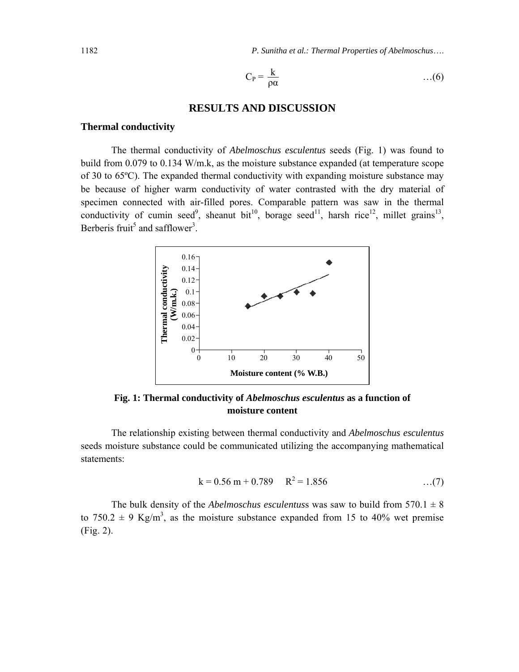1182 *P. Sunitha et al.: Thermal Properties of Abelmoschus*….

$$
C_P = \frac{k}{\rho \alpha} \qquad \qquad \dots (6)
$$

# **RESULTS AND DISCUSSION**

#### **Thermal conductivity**

The thermal conductivity of *Abelmoschus esculentus* seeds (Fig. 1) was found to build from 0.079 to 0.134 W/m.k, as the moisture substance expanded (at temperature scope of 30 to 65ºC). The expanded thermal conductivity with expanding moisture substance may be because of higher warm conductivity of water contrasted with the dry material of specimen connected with air-filled pores. Comparable pattern was saw in the thermal conductivity of cumin seed<sup>9</sup>, sheanut bit<sup>10</sup>, borage seed<sup>11</sup>, harsh rice<sup>12</sup>, millet grains<sup>13</sup>, Berberis fruit<sup>5</sup> and safflower<sup>3</sup>.



**Fig. 1: Thermal conductivity of** *Abelmoschus esculentus* **as a function of moisture content** 

The relationship existing between thermal conductivity and *Abelmoschus esculentus* seeds moisture substance could be communicated utilizing the accompanying mathematical statements:

$$
k = 0.56 m + 0.789 R^2 = 1.856
$$
 ...(7)

The bulk density of the *Abelmoschus esculentus* was saw to build from  $570.1 \pm 8$ to 750.2  $\pm$  9 Kg/m<sup>3</sup>, as the moisture substance expanded from 15 to 40% wet premise (Fig. 2).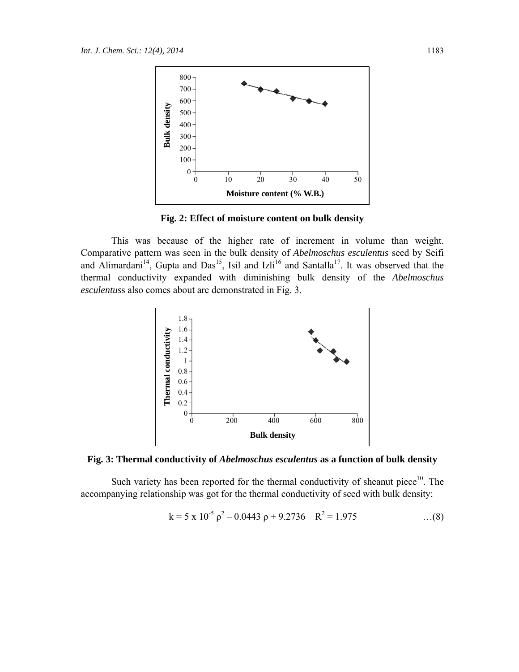

**Fig. 2: Effect of moisture content on bulk density** 

This was because of the higher rate of increment in volume than weight. Comparative pattern was seen in the bulk density of *Abelmoschus esculentus* seed by Seifi and Alimardani<sup>14</sup>, Gupta and Das<sup>15</sup>, Isil and Izli<sup>16</sup> and Santalla<sup>17</sup>. It was observed that the thermal conductivity expanded with diminishing bulk density of the *Abelmoschus esculentus*s also comes about are demonstrated in Fig. 3.





Such variety has been reported for the thermal conductivity of sheanut piece<sup>10</sup>. The accompanying relationship was got for the thermal conductivity of seed with bulk density:

$$
k = 5 \times 10^{-5} \rho^2 - 0.0443 \rho + 9.2736 \quad R^2 = 1.975 \quad ...(8)
$$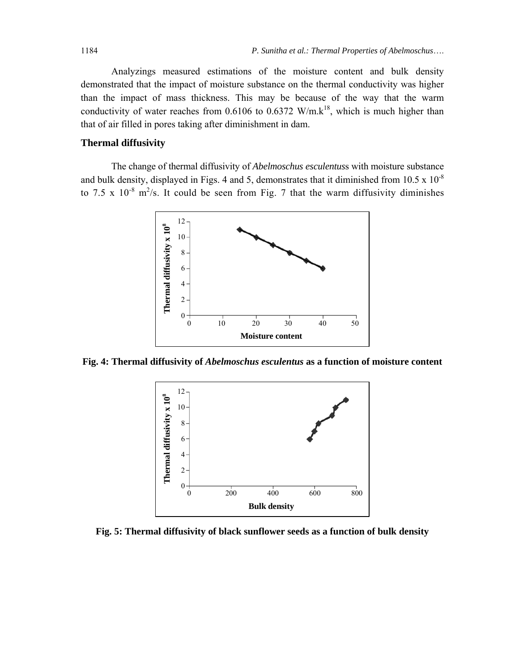Analyzings measured estimations of the moisture content and bulk density demonstrated that the impact of moisture substance on the thermal conductivity was higher than the impact of mass thickness. This may be because of the way that the warm conductivity of water reaches from 0.6106 to 0.6372 W/m.k<sup>18</sup>, which is much higher than that of air filled in pores taking after diminishment in dam.

## **Thermal diffusivity**

The change of thermal diffusivity of *Abelmoschus esculentus*s with moisture substance and bulk density, displayed in Figs. 4 and 5, demonstrates that it diminished from  $10.5 \times 10^{-8}$ to 7.5 x  $10^{-8}$  m<sup>2</sup>/s. It could be seen from Fig. 7 that the warm diffusivity diminishes



**Fig. 4: Thermal diffusivity of** *Abelmoschus esculentus* **as a function of moisture content** 



**Fig. 5: Thermal diffusivity of black sunflower seeds as a function of bulk density**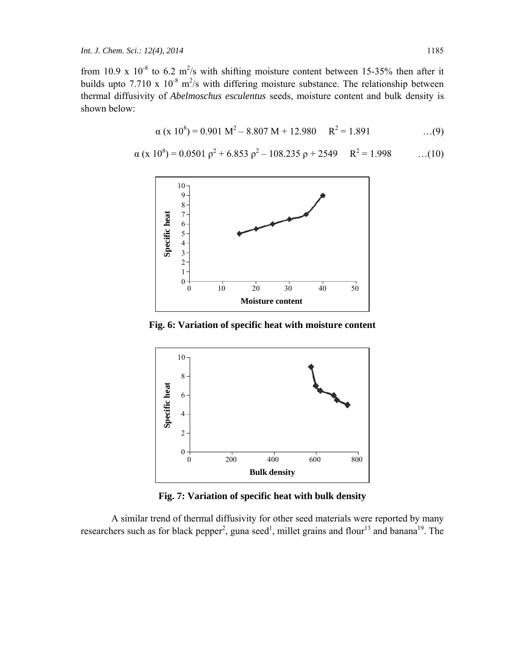from 10.9 x  $10^{-8}$  to 6.2 m<sup>2</sup>/s with shifting moisture content between 15-35% then after it builds upto 7.710 x  $10^{-8}$  m<sup>2</sup>/s with differing moisture substance. The relationship between thermal diffusivity of *Abelmoschus esculentus* seeds, moisture content and bulk density is shown below:

$$
\alpha (x 10^8) = 0.901 M^2 - 8.807 M + 12.980 R^2 = 1.891 \qquad \qquad ...(9)
$$

$$
\alpha (x 10^8) = 0.0501 \rho^2 + 6.853 \rho^2 - 108.235 \rho + 2549 \qquad R^2 = 1.998 \qquad \dots (10)
$$



**Fig. 6: Variation of specific heat with moisture content** 



**Fig. 7: Variation of specific heat with bulk density** 

A similar trend of thermal diffusivity for other seed materials were reported by many researchers such as for black pepper<sup>2</sup>, guna seed<sup>1</sup>, millet grains and flour<sup>13</sup> and banana<sup>19</sup>. The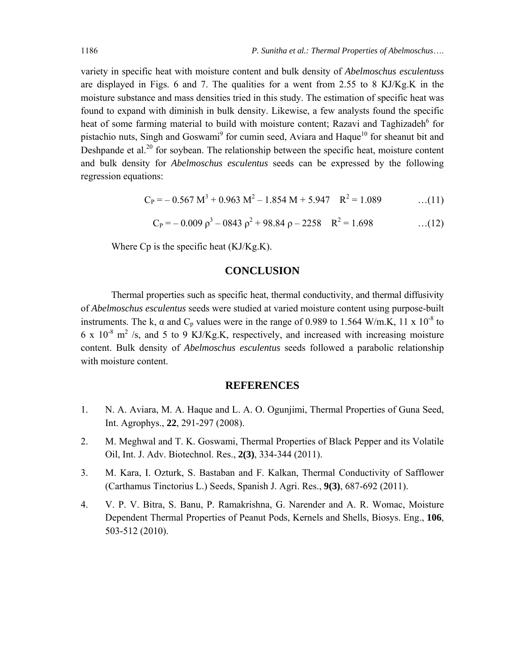variety in specific heat with moisture content and bulk density of *Abelmoschus esculentus*s are displayed in Figs. 6 and 7. The qualities for a went from 2.55 to 8 KJ/Kg.K in the moisture substance and mass densities tried in this study. The estimation of specific heat was found to expand with diminish in bulk density. Likewise, a few analysts found the specific heat of some farming material to build with moisture content; Razavi and Taghizadeh<sup>6</sup> for pistachio nuts, Singh and Goswami<sup>9</sup> for cumin seed, Aviara and Haque<sup>10</sup> for sheanut bit and Deshpande et al.<sup>20</sup> for soybean. The relationship between the specific heat, moisture content and bulk density for *Abelmoschus esculentus* seeds can be expressed by the following regression equations:

$$
C_{P} = -0.567 M^{3} + 0.963 M^{2} - 1.854 M + 5.947 R^{2} = 1.089 \dots (11)
$$

$$
C_{P} = -0.009 \rho^{3} - 0843 \rho^{2} + 98.84 \rho - 2258 \quad R^{2} = 1.698 \quad ...(12)
$$

Where Cp is the specific heat (KJ/Kg.K).

# **CONCLUSION**

Thermal properties such as specific heat, thermal conductivity, and thermal diffusivity of *Abelmoschus esculentus* seeds were studied at varied moisture content using purpose-built instruments. The k,  $\alpha$  and C<sub>p</sub> values were in the range of 0.989 to 1.564 W/m.K, 11 x 10<sup>-8</sup> to 6 x  $10^{-8}$  m<sup>2</sup> /s, and 5 to 9 KJ/Kg.K, respectively, and increased with increasing moisture content. Bulk density of *Abelmoschus esculentus* seeds followed a parabolic relationship with moisture content.

# **REFERENCES**

- 1. N. A. Aviara, M. A. Haque and L. A. O. Ogunjimi, Thermal Properties of Guna Seed, Int. Agrophys., **22**, 291-297 (2008).
- 2. M. Meghwal and T. K. Goswami, Thermal Properties of Black Pepper and its Volatile Oil, Int. J. Adv. Biotechnol. Res., **2(3)**, 334-344 (2011).
- 3. M. Kara, I. Ozturk, S. Bastaban and F. Kalkan, Thermal Conductivity of Safflower (Carthamus Tinctorius L.) Seeds, Spanish J. Agri. Res., **9(3)**, 687-692 (2011).
- 4. V. P. V. Bitra, S. Banu, P. Ramakrishna, G. Narender and A. R. Womac, Moisture Dependent Thermal Properties of Peanut Pods, Kernels and Shells, Biosys. Eng., **106**, 503-512 (2010).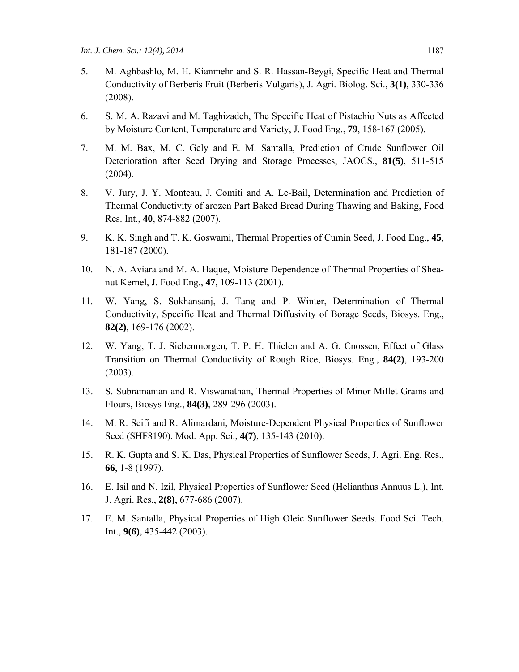- 5. M. Aghbashlo, M. H. Kianmehr and S. R. Hassan-Beygi, Specific Heat and Thermal Conductivity of Berberis Fruit (Berberis Vulgaris), J. Agri. Biolog. Sci., **3(1)**, 330-336 (2008).
- 6. S. M. A. Razavi and M. Taghizadeh, The Specific Heat of Pistachio Nuts as Affected by Moisture Content, Temperature and Variety, J. Food Eng., **79**, 158-167 (2005).
- 7. M. M. Bax, M. C. Gely and E. M. Santalla, Prediction of Crude Sunflower Oil Deterioration after Seed Drying and Storage Processes, JAOCS., **81(5)**, 511-515 (2004).
- 8. V. Jury, J. Y. Monteau, J. Comiti and A. Le-Bail, Determination and Prediction of Thermal Conductivity of arozen Part Baked Bread During Thawing and Baking, Food Res. Int., **40**, 874-882 (2007).
- 9. K. K. Singh and T. K. Goswami, Thermal Properties of Cumin Seed, J. Food Eng., **45**, 181-187 (2000).
- 10. N. A. Aviara and M. A. Haque, Moisture Dependence of Thermal Properties of Sheanut Kernel, J. Food Eng., **47**, 109-113 (2001).
- 11. W. Yang, S. Sokhansanj, J. Tang and P. Winter, Determination of Thermal Conductivity, Specific Heat and Thermal Diffusivity of Borage Seeds, Biosys. Eng., **82(2)**, 169-176 (2002).
- 12. W. Yang, T. J. Siebenmorgen, T. P. H. Thielen and A. G. Cnossen, Effect of Glass Transition on Thermal Conductivity of Rough Rice, Biosys. Eng., **84(2)**, 193-200 (2003).
- 13. S. Subramanian and R. Viswanathan, Thermal Properties of Minor Millet Grains and Flours, Biosys Eng., **84(3)**, 289-296 (2003).
- 14. M. R. Seifi and R. Alimardani, Moisture-Dependent Physical Properties of Sunflower Seed (SHF8190). Mod. App. Sci., **4(7)**, 135-143 (2010).
- 15. R. K. Gupta and S. K. Das, Physical Properties of Sunflower Seeds, J. Agri. Eng. Res., **66**, 1-8 (1997).
- 16. E. Isil and N. Izil, Physical Properties of Sunflower Seed (Helianthus Annuus L.), Int. J. Agri. Res., **2(8)**, 677-686 (2007).
- 17. E. M. Santalla, Physical Properties of High Oleic Sunflower Seeds. Food Sci. Tech. Int., **9(6)**, 435-442 (2003).